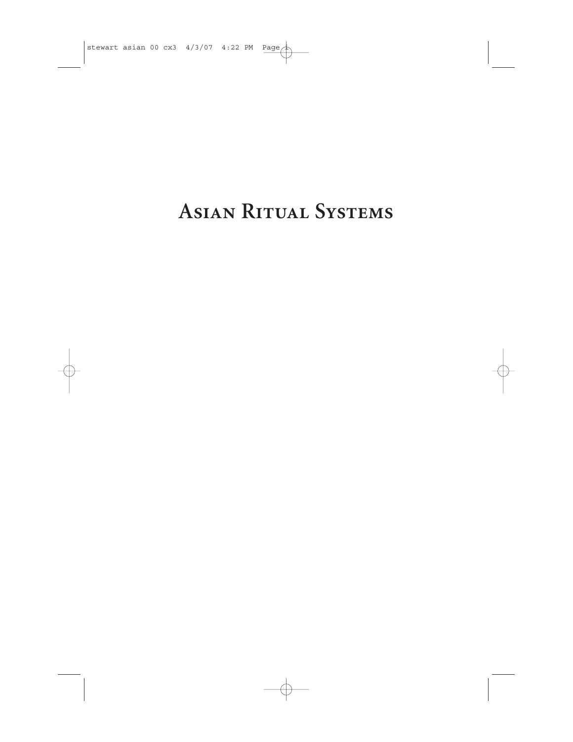# **ASIAN RITUAL SYSTEMS**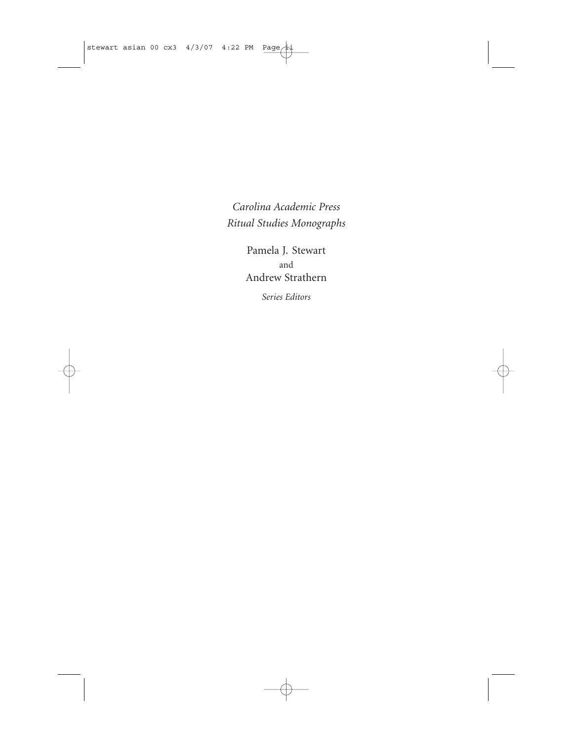*Carolina Academic Press Ritual Studies Monographs*

> Pamela J. Stewart and Andrew Strathern

> > *Series Editors*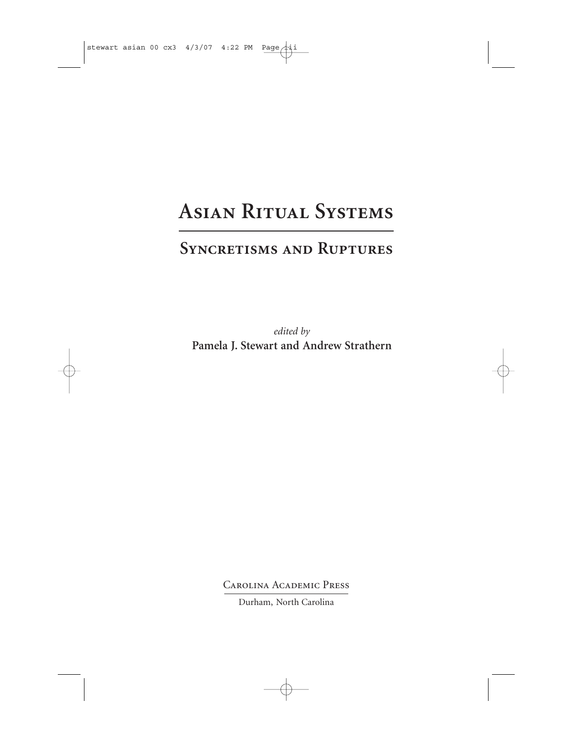## **Asian Ritual Systems**

### **Syncretisms and Ruptures**

*edited by* **Pamela J. Stewart and Andrew Strathern**

Carolina Academic Press

Durham, North Carolina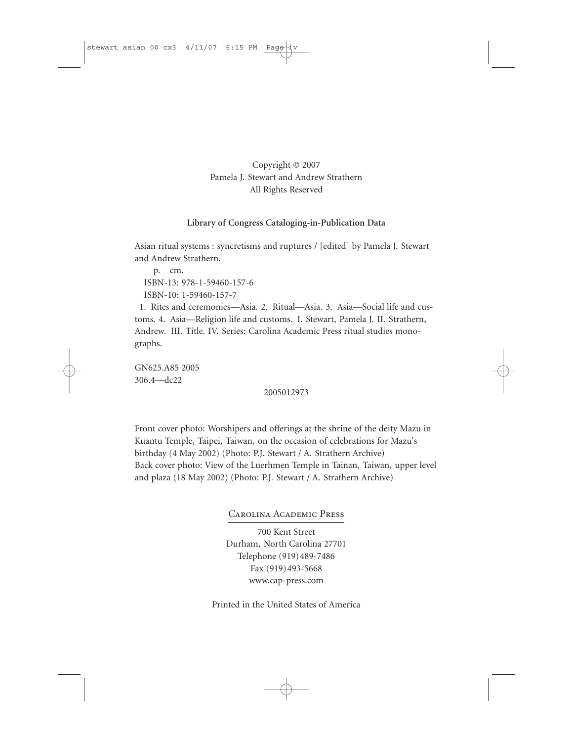#### Copyright © 2007 Pamela J. Stewart and Andrew Strathern All Rights Reserved

#### **Library of Congress Cataloging-in-Publication Data**

Asian ritual systems : syncretisms and ruptures / [edited] by Pamela J. Stewart and Andrew Strathern.

p. cm. ISBN-13: 978-1-59460-157-6 ISBN-10: 1-59460-157-7

1. Rites and ceremonies—Asia. 2. Ritual—Asia. 3. Asia—Social life and customs. 4. Asia—Religion life and customs. I. Stewart, Pamela J. II. Strathern, Andrew. III. Title. IV. Series: Carolina Academic Press ritual studies monographs.

GN625.A85 2005 306.4—dc22

2005012973

Front cover photo: Worshipers and offerings at the shrine of the deity Mazu in Kuantu Temple, Taipei, Taiwan, on the occasion of celebrations for Mazu's birthday (4 May 2002) (Photo: P.J. Stewart / A. Strathern Archive) Back cover photo: View of the Luerhmen Temple in Tainan, Taiwan, upper level and plaza (18 May 2002) (Photo: P.J. Stewart / A. Strathern Archive)

Carolina Academic Press

700 Kent Street Durham, North Carolina 27701 Telephone (919)489-7486 Fax (919)493-5668 www.cap-press.com

Printed in the United States of America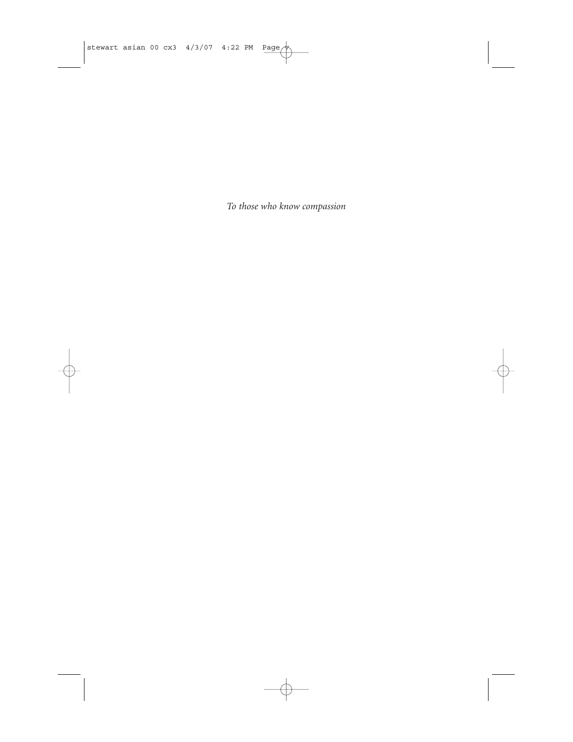*To those who know compassion*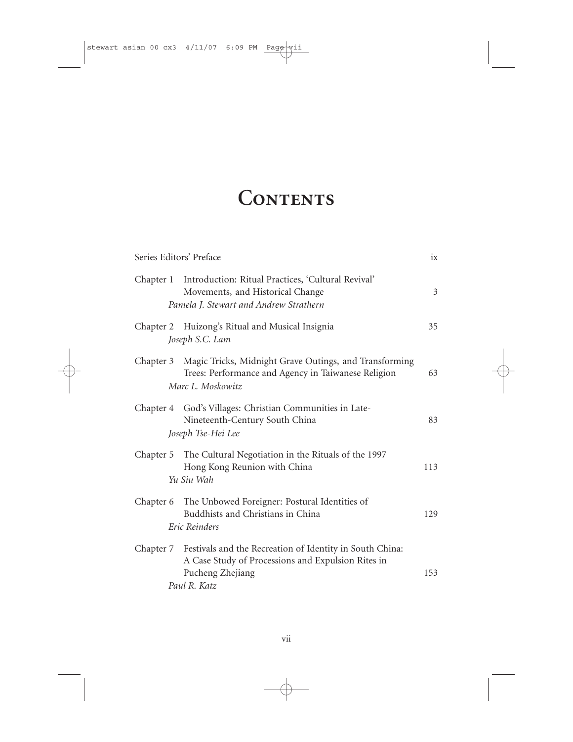## **Contents**

|           | Series Editors' Preface                                                                                                                            | ix  |
|-----------|----------------------------------------------------------------------------------------------------------------------------------------------------|-----|
| Chapter 1 | Introduction: Ritual Practices, 'Cultural Revival'<br>Movements, and Historical Change<br>Pamela J. Stewart and Andrew Strathern                   | 3   |
|           | Chapter 2 Huizong's Ritual and Musical Insignia<br>Joseph S.C. Lam                                                                                 | 35  |
|           | Chapter 3 Magic Tricks, Midnight Grave Outings, and Transforming<br>Trees: Performance and Agency in Taiwanese Religion<br>Marc L. Moskowitz       | 63  |
|           | Chapter 4 God's Villages: Christian Communities in Late-<br>Nineteenth-Century South China<br>Joseph Tse-Hei Lee                                   | 83  |
|           | Chapter 5 The Cultural Negotiation in the Rituals of the 1997<br>Hong Kong Reunion with China<br>Yu Siu Wah                                        | 113 |
|           | Chapter 6 The Unbowed Foreigner: Postural Identities of<br>Buddhists and Christians in China<br>Eric Reinders                                      | 129 |
| Chapter 7 | Festivals and the Recreation of Identity in South China:<br>A Case Study of Processions and Expulsion Rites in<br>Pucheng Zhejiang<br>Paul R. Katz | 153 |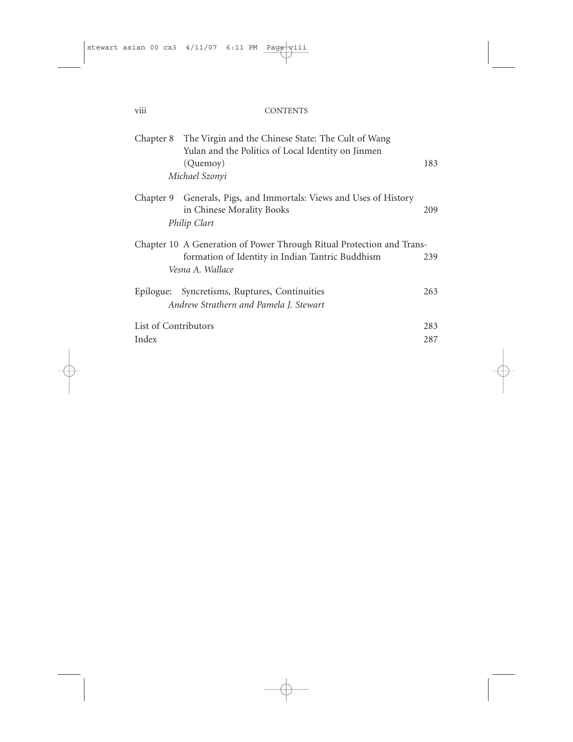| $\cdots$<br>V111 | <b>CONTENTS</b> |
|------------------|-----------------|
|                  |                 |

|                                                                       | Chapter 8 The Virgin and the Chinese State: The Cult of Wang |     |
|-----------------------------------------------------------------------|--------------------------------------------------------------|-----|
|                                                                       | Yulan and the Politics of Local Identity on Jinmen           |     |
|                                                                       | (Quemoy)                                                     | 183 |
|                                                                       | Michael Szonyi                                               |     |
| Chapter 9                                                             | Generals, Pigs, and Immortals: Views and Uses of History     |     |
|                                                                       | in Chinese Morality Books                                    | 209 |
|                                                                       | Philip Clart                                                 |     |
| Chapter 10 A Generation of Power Through Ritual Protection and Trans- |                                                              |     |
|                                                                       | formation of Identity in Indian Tantric Buddhism             | 239 |
|                                                                       | Vesna A. Wallace                                             |     |
| Epilogue:                                                             | Syncretisms, Ruptures, Continuities                          | 263 |
|                                                                       | Andrew Strathern and Pamela J. Stewart                       |     |
| List of Contributors                                                  |                                                              | 283 |
| Index                                                                 |                                                              | 287 |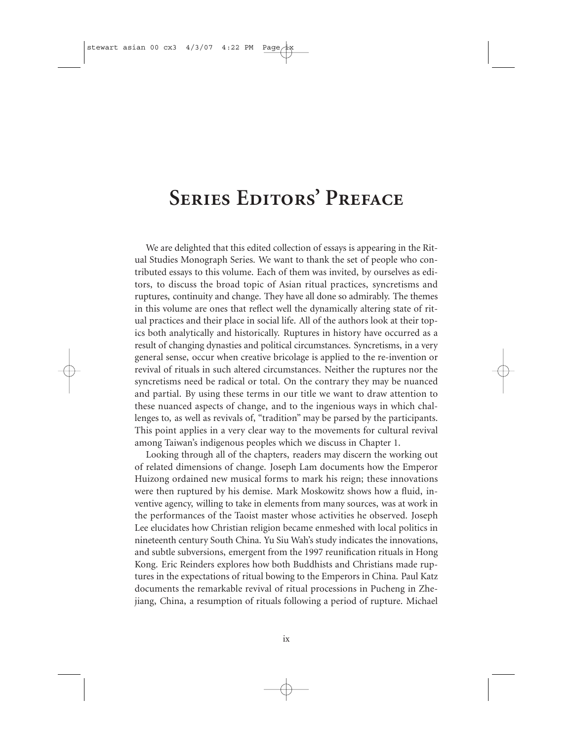### **Series Editors' Preface**

We are delighted that this edited collection of essays is appearing in the Ritual Studies Monograph Series. We want to thank the set of people who contributed essays to this volume. Each of them was invited, by ourselves as editors, to discuss the broad topic of Asian ritual practices, syncretisms and ruptures, continuity and change. They have all done so admirably. The themes in this volume are ones that reflect well the dynamically altering state of ritual practices and their place in social life. All of the authors look at their topics both analytically and historically. Ruptures in history have occurred as a result of changing dynasties and political circumstances. Syncretisms, in a very general sense, occur when creative bricolage is applied to the re-invention or revival of rituals in such altered circumstances. Neither the ruptures nor the syncretisms need be radical or total. On the contrary they may be nuanced and partial. By using these terms in our title we want to draw attention to these nuanced aspects of change, and to the ingenious ways in which challenges to, as well as revivals of, "tradition" may be parsed by the participants. This point applies in a very clear way to the movements for cultural revival among Taiwan's indigenous peoples which we discuss in Chapter 1.

Looking through all of the chapters, readers may discern the working out of related dimensions of change. Joseph Lam documents how the Emperor Huizong ordained new musical forms to mark his reign; these innovations were then ruptured by his demise. Mark Moskowitz shows how a fluid, inventive agency, willing to take in elements from many sources, was at work in the performances of the Taoist master whose activities he observed. Joseph Lee elucidates how Christian religion became enmeshed with local politics in nineteenth century South China. Yu Siu Wah's study indicates the innovations, and subtle subversions, emergent from the 1997 reunification rituals in Hong Kong. Eric Reinders explores how both Buddhists and Christians made ruptures in the expectations of ritual bowing to the Emperors in China. Paul Katz documents the remarkable revival of ritual processions in Pucheng in Zhejiang, China, a resumption of rituals following a period of rupture. Michael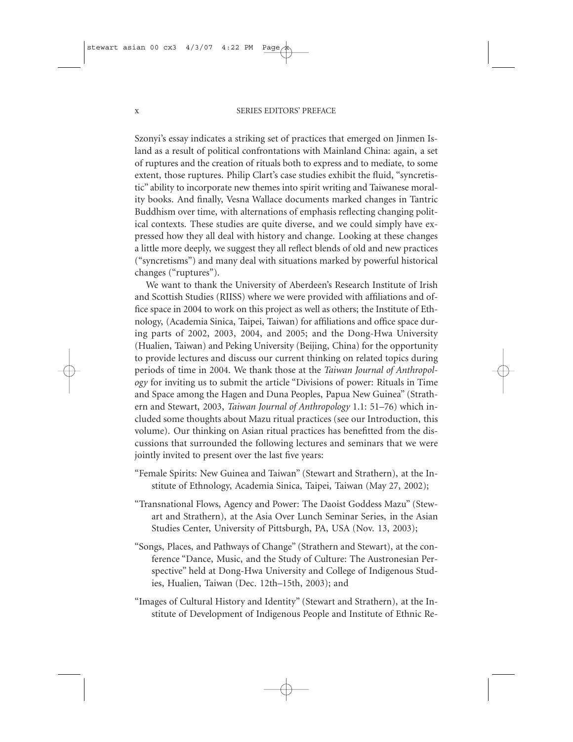Szonyi's essay indicates a striking set of practices that emerged on Jinmen Island as a result of political confrontations with Mainland China: again, a set of ruptures and the creation of rituals both to express and to mediate, to some extent, those ruptures. Philip Clart's case studies exhibit the fluid, "syncretistic" ability to incorporate new themes into spirit writing and Taiwanese morality books. And finally, Vesna Wallace documents marked changes in Tantric Buddhism over time, with alternations of emphasis reflecting changing political contexts. These studies are quite diverse, and we could simply have expressed how they all deal with history and change. Looking at these changes a little more deeply, we suggest they all reflect blends of old and new practices ("syncretisms") and many deal with situations marked by powerful historical changes ("ruptures").

We want to thank the University of Aberdeen's Research Institute of Irish and Scottish Studies (RIISS) where we were provided with affiliations and office space in 2004 to work on this project as well as others; the Institute of Ethnology, (Academia Sinica, Taipei, Taiwan) for affiliations and office space during parts of 2002, 2003, 2004, and 2005; and the Dong-Hwa University (Hualien, Taiwan) and Peking University (Beijing, China) for the opportunity to provide lectures and discuss our current thinking on related topics during periods of time in 2004. We thank those at the *Taiwan Journal of Anthropology* for inviting us to submit the article "Divisions of power: Rituals in Time and Space among the Hagen and Duna Peoples, Papua New Guinea" (Strathern and Stewart, 2003, *Taiwan Journal of Anthropology* 1.1: 51–76) which included some thoughts about Mazu ritual practices (see our Introduction, this volume). Our thinking on Asian ritual practices has benefitted from the discussions that surrounded the following lectures and seminars that we were jointly invited to present over the last five years:

- "Female Spirits: New Guinea and Taiwan" (Stewart and Strathern), at the Institute of Ethnology, Academia Sinica, Taipei, Taiwan (May 27, 2002);
- "Transnational Flows, Agency and Power: The Daoist Goddess Mazu" (Stewart and Strathern), at the Asia Over Lunch Seminar Series, in the Asian Studies Center, University of Pittsburgh, PA, USA (Nov. 13, 2003);
- "Songs, Places, and Pathways of Change" (Strathern and Stewart), at the conference "Dance, Music, and the Study of Culture: The Austronesian Perspective" held at Dong-Hwa University and College of Indigenous Studies, Hualien, Taiwan (Dec. 12th–15th, 2003); and
- "Images of Cultural History and Identity" (Stewart and Strathern), at the Institute of Development of Indigenous People and Institute of Ethnic Re-